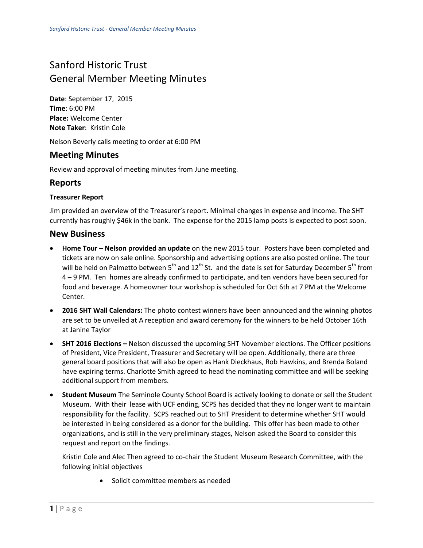# Sanford Historic Trust General Member Meeting Minutes

**Date**: September 17, 2015 **Time**: 6:00 PM **Place:** Welcome Center **Note Taker**: Kristin Cole

Nelson Beverly calls meeting to order at 6:00 PM

## **Meeting Minutes**

Review and approval of meeting minutes from June meeting.

## **Reports**

#### **Treasurer Report**

Jim provided an overview of the Treasurer's report. Minimal changes in expense and income. The SHT currently has roughly \$46k in the bank. The expense for the 2015 lamp posts is expected to post soon.

#### **New Business**

- **Home Tour Nelson provided an update** on the new 2015 tour. Posters have been completed and tickets are now on sale online. Sponsorship and advertising options are also posted online. The tour will be held on Palmetto between 5<sup>th</sup> and 12<sup>th</sup> St. and the date is set for Saturday December 5<sup>th</sup> from 4 – 9 PM. Ten homes are already confirmed to participate, and ten vendors have been secured for food and beverage. A homeowner tour workshop is scheduled for Oct 6th at 7 PM at the Welcome Center.
- **2016 SHT Wall Calendars:** The photo contest winners have been announced and the winning photos are set to be unveiled at A reception and award ceremony for the winners to be held October 16th at Janine Taylor
- **SHT 2016 Elections –** Nelson discussed the upcoming SHT November elections. The Officer positions of President, Vice President, Treasurer and Secretary will be open. Additionally, there are three general board positions that will also be open as Hank Dieckhaus, Rob Hawkins, and Brenda Boland have expiring terms. Charlotte Smith agreed to head the nominating committee and will be seeking additional support from members.
- **Student Museum** The Seminole County School Board is actively looking to donate or sell the Student Museum. With their lease with UCF ending, SCPS has decided that they no longer want to maintain responsibility for the facility. SCPS reached out to SHT President to determine whether SHT would be interested in being considered as a donor for the building. This offer has been made to other organizations, and is still in the very preliminary stages, Nelson asked the Board to consider this request and report on the findings.

Kristin Cole and Alec Then agreed to co-chair the Student Museum Research Committee, with the following initial objectives

• Solicit committee members as needed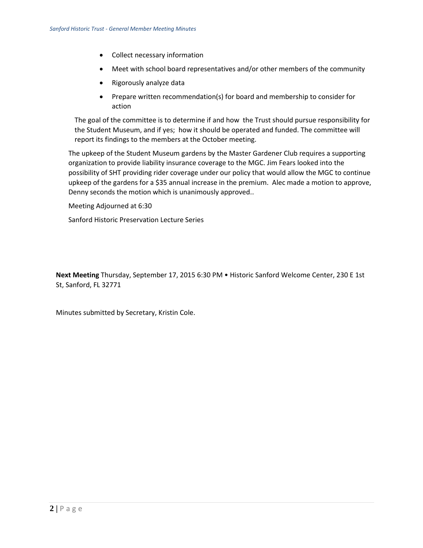- Collect necessary information
- Meet with school board representatives and/or other members of the community
- Rigorously analyze data
- Prepare written recommendation(s) for board and membership to consider for action

The goal of the committee is to determine if and how the Trust should pursue responsibility for the Student Museum, and if yes; how it should be operated and funded. The committee will report its findings to the members at the October meeting.

The upkeep of the Student Museum gardens by the Master Gardener Club requires a supporting organization to provide liability insurance coverage to the MGC. Jim Fears looked into the possibility of SHT providing rider coverage under our policy that would allow the MGC to continue upkeep of the gardens for a \$35 annual increase in the premium. Alec made a motion to approve, Denny seconds the motion which is unanimously approved..

Meeting Adjourned at 6:30

Sanford Historic Preservation Lecture Series

**Next Meeting** Thursday, September 17, 2015 6:30 PM • Historic Sanford Welcome Center, 230 E 1st St, Sanford, FL 32771

Minutes submitted by Secretary, Kristin Cole.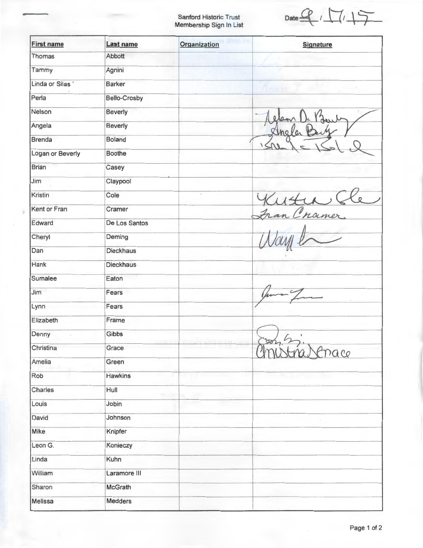Sanford Historic Trust Membership Sign In List

Date  $9/17/17$ 

| <b>First name</b> | Last name           | Organization | <b>Signature</b> |
|-------------------|---------------------|--------------|------------------|
| Thomas            | Abbott              |              |                  |
| Tammy             | Agnini              |              |                  |
| Linda or Silas    | <b>Barker</b>       |              |                  |
| Perla             | <b>Bello-Crosby</b> |              |                  |
| Nelson            | Beverly             |              |                  |
| Angela            | <b>Beverly</b>      |              |                  |
| <b>Brenda</b>     | <b>Boland</b>       |              | Sheler           |
| Logan or Beverly  | <b>Boothe</b>       |              |                  |
| <b>Brian</b>      | Casey               |              |                  |
| Jim               | Claypool            |              |                  |
| Kristin           | Cole                |              |                  |
| Kent or Fran      | Cramer              |              |                  |
| Edward            | De Los Santos       |              |                  |
| Cheryl            | Deming              |              |                  |
| Dan               | <b>Dieckhaus</b>    |              |                  |
| Hank              | <b>Dieckhaus</b>    |              |                  |
| Sumalee           | Eaton               |              |                  |
| Jim               | Fears               |              |                  |
| Lynn              | Fears               |              |                  |
| Elizabeth         | Frame               |              |                  |
| Denny             | Gibbs               |              |                  |
| Christina         | Grace               |              | Chistrascrace    |
| Amelia            | Green               |              |                  |
| Rob               | <b>Hawkins</b>      |              |                  |
| Charles           | Hull                |              |                  |
| Louis             | Jobin               |              |                  |
| David             | Johnson             |              |                  |
| Mike              | Knipfer             |              |                  |
| Leon G.           | Konieczy            |              |                  |
| Linda             | Kuhn                |              |                  |
| William           | Laramore III        |              |                  |
| Sharon            | McGrath             |              |                  |
| Melissa           | Medders             |              |                  |